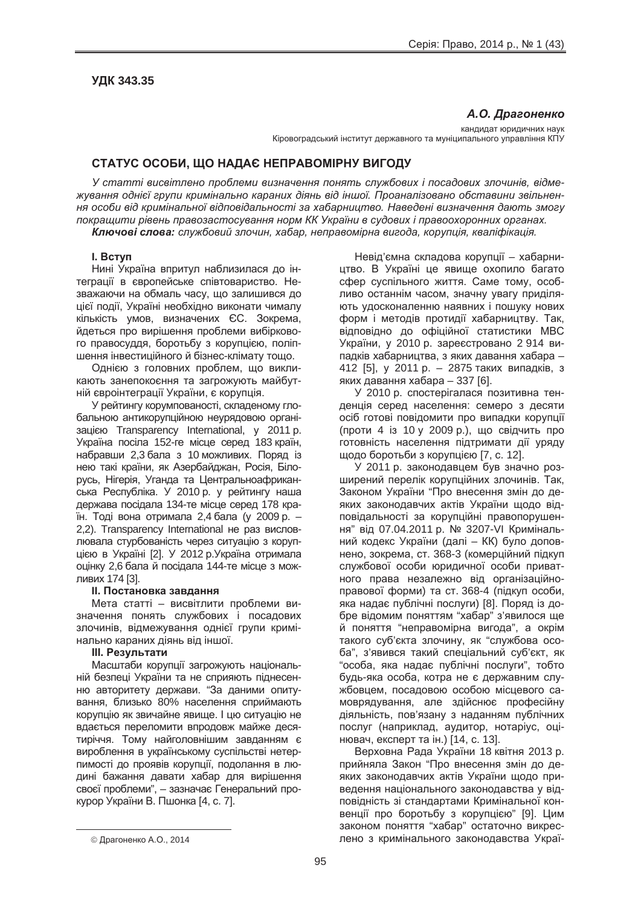## **ɍȾɄ 343.35**

 $A$ *.О.* Драгоненко

кандидат юридичних наук Кіровоградський інститут державного та муніципального управління КПУ

# **ɋɌȺɌɍɋ ɈɋɈȻɂ, ɓɈ ɇȺȾȺȯ ɇȿɉɊȺȼɈɆȱɊɇɍ ȼɂȽɈȾɍ**

У статті висвітлено проблеми визначення понять службових і посадових злочинів, відме $x$ vвання однієї групи кримінально караних діянь від іншої. Проаналізовано обставини звільнен*ɧɹ ɨɫɨɛɢ ɜɿɞ ɤɪɢɦɿɧɚɥɶɧɨʀ ɜɿɞɩɨɜɿɞɚɥɶɧɨɫɬɿ ɡɚ ɯɚɛɚɪɧɢɰɬɜɨ. ɇɚɜɟɞɟɧɿ ɜɢɡɧɚɱɟɧɧɹ ɞɚɸɬɶ ɡɦɨɝɭ*  $\overline{h}$  *покращити рівень правозастосування норм КК України в судових і правоохоронних органах. Ʉɥɸɱɨɜɿ ɫɥɨɜɚ: ɫɥɭɠɛɨɜɢɣ ɡɥɨɱɢɧ, ɯɚɛɚɪ, ɧɟɩɪɚɜɨɦɿɪɧɚ ɜɢɝɨɞɚ, ɤɨɪɭɩɰɿɹ, ɤɜɚɥɿɮɿɤɚɰɿɹ.*

### **I. BCTVN**

Нині Україна впритул наблизилася до інтеграції в європейське співтовариство. Незважаючи на обмаль часу, що залишився до цієї події, Україні необхідно виконати чималу кількість умов, визначених ЄС. Зокрема, йдеться про вирішення проблеми вибіркового правосуддя, боротьбу з корупцією, поліпшення інвестиційного й бізнес-клімату тощо.

Однією з головних проблем, що викликають занепокоєння та загрожують майбутній євроінтеграції України, є корупція.

У рейтингу корумпованості, складеному глобальною антикорупційною неурядовою органі-3auicio Transparency International, γ 2011 p. Україна посіла 152-ге місце серед 183 країн, набравши 2,3 бала з 10 можливих. Поряд із нею такі країни, як Азербайджан, Росія, Білорусь, Нігерія, Уганда та Центральноафриканська Республіка. У 2010 p. у рейтингу наша держава посідала 134-те місце серед 178 країн. Тоді вона отримала 2,4 бала (у 2009 р. – 2.2). Transparency International не раз висловлювала стурбованість через ситуацію з корупцією в Україні [2]. У 2012 р. Україна отримала оцінку 2,6 бала й посідала 144-те місце з можливих 174 [3].

#### **II. Постановка завдання**

Мета статті – висвітлити проблеми визначення понять службових і посадових злочинів, відмежування однієї групи кримінально караних діянь від іншої.

#### **Ш. Результати**

Масштаби корупції загрожують національній безпеці України та не сприяють піднесенню авторитету держави. "За даними опитування, близько 80% населення сприймають корупцію як звичайне явище. І цю ситуацію не вдається переломити впродовж майже десятиріччя. Тому найголовнішим завданням є вироблення в українському суспільстві нетерпимості до проявів корупції, подолання в людині бажання давати хабар для вирішення своєї проблеми", – зазначає Генеральний прокурор України В. Пшонка [4, с. 7].

Невід'ємна складова корупції – хабарництво. В Україні це явище охопило багато сфер суспільного життя. Саме тому, особливо останнім часом, значну увагу приділяють удосконаленню наявних і пошуку нових форм і методів протидії хабарництву. Так, відповідно до офіційної статистики МВС України, у 2010 р. зареєстровано 2 914 випадків хабарництва, з яких давання хабара – 412 [5], у 2011 р. – 2875 таких випадків, з яких давання хабара – 337 [6].

У 2010 р. спостерігалася позитивна тенденція серед населення: семеро з десяти осіб готові повідомити про випадки корупції (проти 4 із 10 у 2009 р.), що свідчить про готовність населення підтримати дії уряду щодо боротьби з корупцією [7, с. 12].

У 2011 р. законодавцем був значно розширений перелік корупційних злочинів. Так, Законом України "Про внесення змін до деяких законодавчих актів України шодо відповідальності за корупційні правопорушення" від 07.04.2011 р. № 3207-VI Кримінальний кодекс України (далі – КК) було доповнено, зокрема, ст. 368-3 (комерційний підкуп службової особи юридичної особи приватного права незалежно від організаційноправової форми) та ст. 368-4 (підкуп особи, яка надає публічні послуги) [8]. Поряд із добре відомим поняттям "хабар" з'явилося ще й поняття "неправомірна вигода", а окрім такого суб'єкта злочину, як "службова особа", з'явився такий спеціальний суб'єкт, як "особа, яка надає публічні послуги", тобто будь-яка особа, котра не є державним службовцем, посадовою особою місцевого самоврядування, але здійснює професійну діяльність, пов'язану з наданням публічних послуг (наприклад, аудитор, нотаріус, оцінювач, експерт та ін.) [14, с. 13].

Верховна Рада України 18 квітня 2013 р. прийняла Закон "Про внесення змін до деяких законодавчих актів України щодо приведення національного законодавства у відповідність зі стандартами Кримінальної конвенції про боротьбу з корупцією" [9]. Цим законом поняття "хабар" остаточно викреслено з кримінального законодавства Украї-

 $\overline{a}$ 

<sup>©</sup> Драгоненко А.О., 2014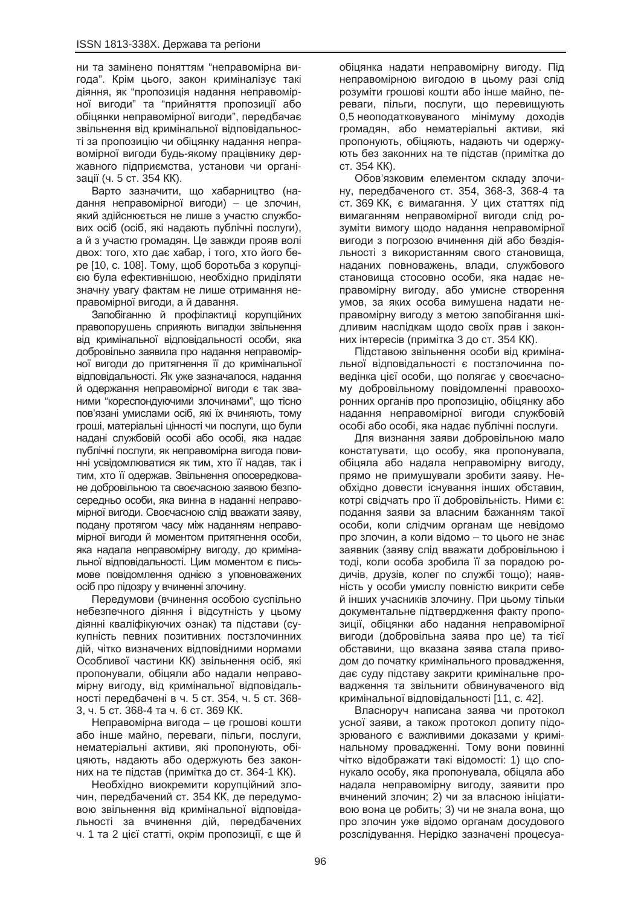ни та замінено поняттям "неправомірна вигода". Крім цього, закон криміналізує такі діяння, як "пропозиція надання неправомірної вигоди" та "прийняття пропозиції або обіцянки неправомірної вигоди", передбачає звільнення від кримінальної відповідальності за пропозицію чи обіцянку надання неправомірної вигоди будь-якому працівнику державного підприємства, установи чи організації (ч. 5 ст. 354 КК).

Варто зазначити, що хабарництво (надання неправомірної вигоди) – це злочин, який здійснюється не лише з участю службових осіб (осіб, які надають публічні послуги), а й з участю громадян. Це завжди прояв волі двох: того, хто дає хабар, і того, хто його бере [10, с. 108]. Тому, щоб боротьба з корупцією була ефективнішою, необхідно приділяти значну увагу фактам не лише отримання неправомірної вигоди, а й давання.

Запобіганню й профілактиці корупційних правопорушень сприяють випадки звільнення від кримінальної відповідальності особи, яка добровільно заявила про надання неправомірної вигоди до притягнення її до кримінальної відповідальності. Як уже зазначалося, надання й одержання неправомірної вигоди є так званими "кореспондуючими злочинами", що тісно пов'язані умислами осіб, які їх вчиняють, тому гроші, матеріальні цінності чи послуги, що були надані службовій особі або особі, яка надає публічні послуги, як неправомірна вигода повинні усвідомлюватися як тим, хто її надав, так і тим, хто її одержав. Звільнення опосередковане добровільною та своєчасною заявою безпосередньо особи, яка винна в наданні неправомірної вигоди. Своєчасною слід вважати заяву, подану протягом часу між наданням неправомірної вигоди й моментом притягнення особи. яка надала неправомірну вигоду, до кримінальної відповідальності. Цим моментом є письмове повідомлення однією з уповноважених осіб про підозру у вчиненні злочину.

Передумови (вчинення особою суспільно небезпечного діяння і відсутність у цьому діянні кваліфікуючих ознак) та підстави (сукупність певних позитивних постзлочинних дій, чітко визначених відповідними нормами Особливої частини КК) звільнення осіб, які пропонували, обіцяли або надали неправомірну вигоду, від кримінальної відповідальності передбачені в ч. 5 ст. 354, ч. 5 ст. 368-3, ч. 5 ст. 368-4 та ч. 6 ст. 369 КК.

Неправомірна вигода – це грошові кошти або інше майно, переваги, пільги, послуги, нематеріальні активи, які пропонують, обіцяють, надають або одержують без законних на те підстав (примітка до ст. 364-1 КК).

Необхідно виокремити корупційний злочин. передбачений ст. 354 КК, де передумовою звільнення від кримінальної відповідальності за вчинення дій, передбачених ч. 1 та 2 цієї статті, окрім пропозиції, є ще й

обіцянка надати неправомірну вигоду. Під неправомірною вигодою в цьому разі слід розуміти грошові кошти або інше майно, переваги, пільги, послуги, що перевищують 0,5 неоподатковуваного мінімуму доходів громадян, або нематеріальні активи, які пропонують, обіцяють, надають чи одержують без законних на те підстав (примітка до CT. 354 KK).

Обов'язковим елементом складу злочину, передбаченого ст. 354, 368-3, 368-4 та ст. 369 КК, є вимагання. У цих статтях під вимаганням неправомірної вигоди слід розуміти вимогу щодо надання неправомірної вигоди з погрозою вчинення дій або бездіяльності з використанням свого становища, наданих повноважень, влади, службового становища стосовно особи, яка надає неправомірну вигоду, або умисне створення умов, за яких особа вимушена надати неправомірну вигоду з метою запобігання шкідливим наслідкам шодо своїх прав і законних інтересів (примітка 3 до ст. 354 КК).

Підставою звільнення особи від кримінальної відповідальності є постзлочинна поведінка цієї особи, що полягає у своєчасному добровільному повідомленні правоохоронних органів про пропозицію, обіцянку або надання неправомірної вигоди службовій особі або особі, яка надає публічні послуги.

Для визнання заяви добровільною мало констатувати, що особу, яка пропонувала, обіцяла або надала неправомірну вигоду, прямо не примушували зробити заяву. Необхідно довести існування інших обставин, котрі свідчать про її добровільність. Ними є: подання заяви за власним бажанням такої особи, коли слідчим органам ше невідомо про злочин, а коли відомо – то цього не знає заявник (заяву слід вважати добровільною і тоді, коли особа зробила її за порадою родичів, друзів, колег по службі тощо); наявність у особи умислу повністю викрити себе й інших учасників злочину. При цьому тільки документальне підтвердження факту пропозиції, обіцянки або надання неправомірної вигоди (добровільна заява про це) та тієї обставини, що вказана заява стала приводом до початку кримінального провадження, дає суду підставу закрити кримінальне провадження та звільнити обвинуваченого від кримінальної відповідальності [11, с. 42].

Власноруч написана заява чи протокол усної заяви, а також протокол допиту підозрюваного є важливими доказами у кримінальному провадженні. Тому вони повинні чітко відображати такі відомості: 1) що спонукало особу, яка пропонувала, обіцяла або надала неправомірну вигоду, заявити про вчинений злочин: 2) чи за власною ініціативою вона це робить; 3) чи не знала вона, що про злочин уже відомо органам досудового розслідування. Нерідко зазначені процесуа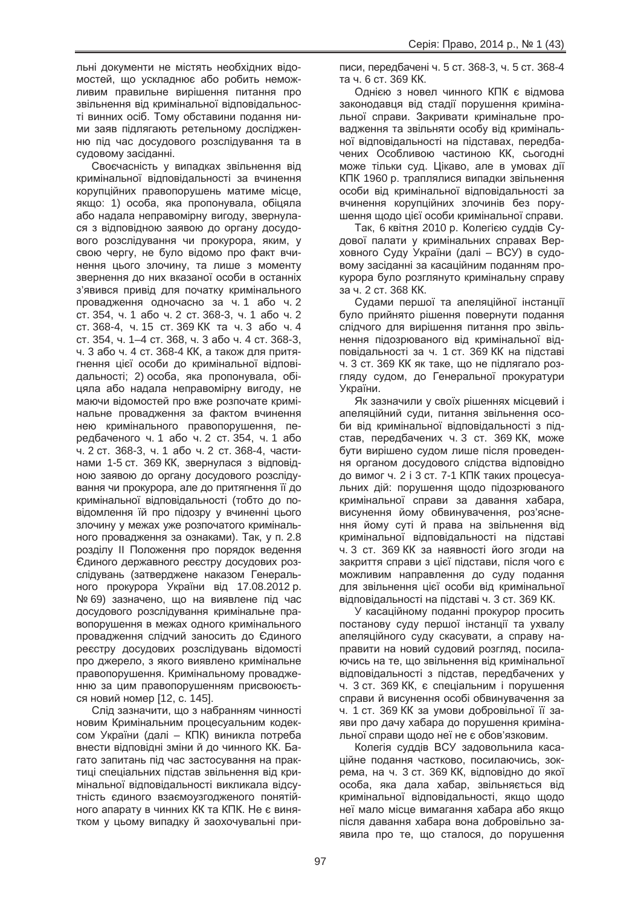льні документи не містять необхідних відомостей, що ускладнює або робить неможливим правильне вирішення питання про звільнення від кримінальної відповідальності винних осіб. Тому обставини подання ними заяв підлягають ретельному дослідженню під час досудового розслідування та в судовому засіданні.

Своєчасність у випадках звільнення від кримінальної відповідальності за вчинення корупційних правопорушень матиме місце, якщо: 1) особа, яка пропонувала, обіцяла або надала неправомірну вигоду, звернулася з відповідною заявою до органу досудового розслідування чи прокурора, яким, у свою чергу, не було відомо про факт вчинення цього злочину, та лише з моменту звернення до них вказаної особи в останніх з'явився привід для початку кримінального провадження одночасно за ч. 1 або ч. 2 ст. 354, ч. 1 або ч. 2 ст. 368-3, ч. 1 або ч. 2 ст. 368-4, ч. 15 ст. 369 КК та ч. 3 або ч. 4 ст. 354, ч. 1–4 ст. 368, ч. 3 або ч. 4 ст. 368-3, ч. 3 або ч. 4 ст. 368-4 КК, а також для притягнення цієї особи до кримінальної відповідальності; 2) особа, яка пропонувала, обіцяла або надала неправомірну вигоду, не маючи відомостей про вже розпочате кримінальне провадження за фактом вчинення нею кримінального правопорушення, передбаченого ч. 1 або ч. 2 ст. 354, ч. 1 або ч. 2 ст. 368-3, ч. 1 або ч. 2 ст. 368-4, частинами 1-5 ст. 369 КК, звернулася з відповідною заявою до органу досудового розслідування чи прокурора, але до притягнення її до кримінальної відповідальності (тобто до повідомлення їй про підозру у вчиненні цього злочину у межах уже розпочатого кримінального провадження за ознаками). Так, у п. 2.8 розділу II Положення про порядок ведення Сдиного державного реєстру досудових розслідувань (затверджене наказом Генерального прокурора України від 17.08.2012 р. № 69) зазначено, що на виявлене під час досудового розслідування кримінальне правопорушення в межах одного кримінального провадження слідчий заносить до Єдиного реєстру досудових розслідувань відомості про джерело, з якого виявлено кримінальне правопорушення. Кримінальному провадженню за цим правопорушенням присвоюється новий номер [12, с. 145].

Слід зазначити, що з набранням чинності новим Кримінальним процесуальним кодексом України (далі – КПК) виникла потреба внести відповідні зміни й до чинного КК. Багато запитань під час застосування на практиці спеціальних підстав звільнення від кримінальної відповідальності викликала відсутність єдиного взаємоузгодженого понятійного апарату в чинних КК та КПК. Не є винятком у цьому випадку й заохочувальні приписи, передбачені ч. 5 ст. 368-3, ч. 5 ст. 368-4 та ч. 6 ст. 369 КК.

Однією з новел чинного КПК є відмова законодавця від стадії порушення кримінальної справи. Закривати кримінальне провадження та звільняти особу від кримінальної відповідальності на підставах, передбачених Особливою частиною КК, сьогодні може тільки суд. Цікаво, але в умовах дії КПК 1960 р. траплялися випадки звільнення особи від кримінальної відповідальності за вчинення корупційних злочинів без порушення щодо цієї особи кримінальної справи.

Так, 6 квітня 2010 р. Колегією суддів Судової палати у кримінальних справах Верховного Суду України (далі – ВСУ) в судовому засіданні за касаційним поданням прокурора було розглянуто кримінальну справу за ч. 2 ст. 368 КК.

Судами першої та апеляційної інстанції було прийнято рішення повернути подання слідчого для вирішення питання про звільнення підозрюваного від кримінальної відповідальності за ч. 1 ст. 369 КК на підставі ч. 3 ст. 369 КК як таке, що не підлягало розгляду судом, до Генеральної прокуратури України.

Як зазначили у своїх рішеннях місцевий і апеляційний суди, питання звільнення особи від кримінальної відповідальності з підстав, передбачених ч. 3 ст. 369 КК, може бути вирішено судом лише після проведення органом досудового слідства відповідно до вимог ч. 2 і 3 ст. 7-1 КПК таких процесуальних дій: порушення щодо підозрюваного кримінальної справи за давання хабара, висунення йому обвинувачення, роз'яснення йому суті й права на звільнення від кримінальної відповідальності на підставі ч. 3 ст. 369 КК за наявності його згоди на закриття справи з цієї підстави, після чого є можливим направлення до суду подання для звільнення цієї особи від кримінальної відповідальності на підставі ч. 3 ст. 369 КК.

У касаційному поданні прокурор просить постанову суду першої інстанції та ухвалу апеляційного суду скасувати, а справу направити на новий судовий розгляд, посилаючись на те, що звільнення від кримінальної відповідальності з підстав, передбачених у ч. 3 ст. 369 КК, є спеціальним і порушення справи й висунення особі обвинувачення за ч. 1 ст. 369 КК за умови добровільної її заяви про дачу хабара до порушення кримінальної справи щодо неї не є обов'язковим.

Колегія суддів ВСУ задовольнила касаційне подання частково, посилаючись, зокрема, на ч. 3 ст. 369 КК, відповідно до якої особа, яка дала хабар, звільняється від кримінальної відповідальності, якщо щодо неї мало місце вимагання хабара або якшо після давання хабара вона добровільно заявила про те, що сталося, до порушення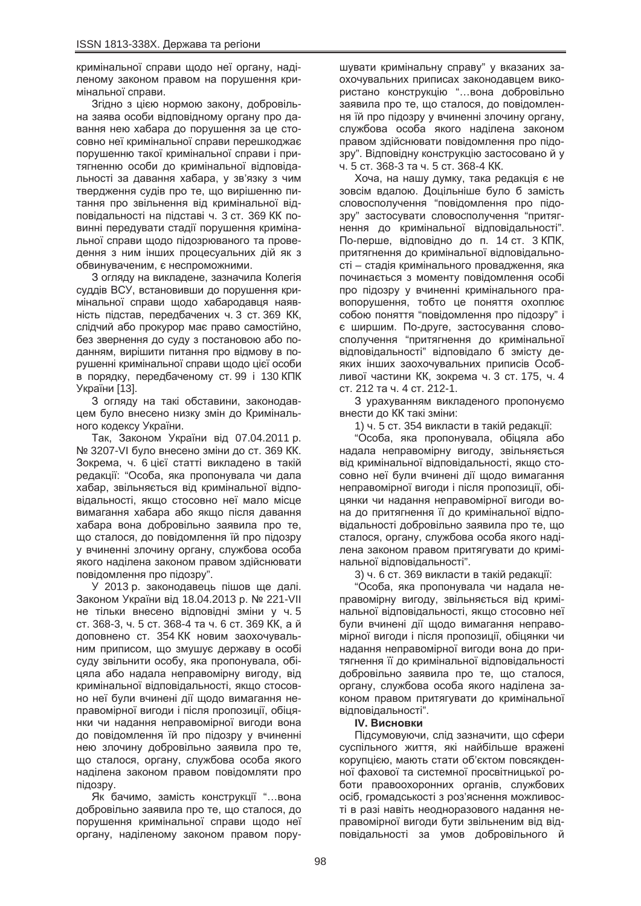кримінальної справи щодо неї органу, наділеному законом правом на порушення кримінальної справи.

Згідно з цією нормою закону, добровільна заява особи відповідному органу про давання нею хабара до порушення за це стосовно неї кримінальної справи перешкоджає порушенню такої кримінальної справи і притягненню особи до кримінальної відповідальності за давання хабара, у зв'язку з чим твердження судів про те, що вирішенню питання про звільнення від кримінальної відповідальності на підставі ч. 3 ст. 369 КК повинні передувати стадії порушення кримінальної справи щодо підозрюваного та проведення з ним інших процесуальних дій як з обвинуваченим, є неспроможними.

3 огляду на викладене, зазначила Колегія суддів ВСУ, встановивши до порушення кримінальної справи щодо хабародавця наявність підстав, передбачених ч. 3 ст. 369 КК. слідчий або прокурор має право самостійно, без звернення до суду з постановою або поданням, вирішити питання про відмову в порушенні кримінальної справи щодо цієї особи в порядку, передбаченому ст. 99 і 130 КПК. України [13].

З огляду на такі обставини, законодавцем було внесено низку змін до Кримінального кодексу України.

Так, Законом України від 07.04.2011 р. № 3207-VI було внесено зміни до ст. 369 КК. Зокрема, ч. 6 цієї статті викладено в такій редакції: "Особа, яка пропонувала чи дала хабар, звільняється від кримінальної відповідальності, якщо стосовно неї мало місце вимагання хабара або якщо після давання хабара вона добровільно заявила про те. що сталося, до повідомлення їй про підозру у вчиненні злочину органу, службова особа якого наділена законом правом здійснювати повідомлення про підозру".

У 2013 р. законодавець пішов ще далі. Законом України від 18.04.2013 р. № 221-VII не тільки внесено відповідні зміни у ч. 5 ст. 368-3, ч. 5 ст. 368-4 та ч. 6 ст. 369 КК, ай. доповнено ст. 354 КК новим заохочувальним приписом, що змушує державу в особі суду звільнити особу, яка пропонувала, обіцяла або надала неправомірну вигоду, від кримінальної відповідальності, якщо стосовно неї були вчинені дії щодо вимагання неправомірної вигоди і після пропозиції, обіцянки чи надання неправомірної вигоди вона до повідомлення їй про підозру у вчиненні нею злочину добровільно заявила про те, що сталося, органу, службова особа якого наділена законом правом повідомляти про підозру.

Як бачимо, замість конструкції "...вона добровільно заявила про те, що сталося, до порушення кримінальної справи шодо неї органу, наділеному законом правом порушувати кримінальну справу" у вказаних заохочувальних приписах законодавцем використано конструкцію "...вона добровільно заявила про те, що сталося, до повідомлення їй про підозру у вчиненні злочину органу, службова особа якого наділена законом правом здійснювати повідомлення про підозру". Відповідну конструкцію застосовано й у ч. 5 ст. 368-3 та ч. 5 ст. 368-4 КК.

Хоча, на нашу думку, така редакція є не зовсім вдалою. Доцільніше було б замість словосполучення "повідомлення про підозру" застосувати словосполучення "притягнення до кримінальної відповідальності". По-перше, відповідно до п. 14 ст. 3 КПК, притягнення до кримінальної відповідальності – стадія кримінального провадження, яка починається з моменту повідомлення особі про підозру у вчиненні кримінального правопорушення, тобто це поняття охоплює собою поняття "повідомлення про підозру" і є ширшим. По-друге, застосування словосполучення "притягнення до кримінальної відповідальності" відповідало б змісту деяких інших заохочувальних приписів Особливої частини КК, зокрема ч. 3 ст. 175, ч. 4 ст. 212 та ч. 4 ст. 212-1.

З урахуванням викладеного пропонуємо внести до КК такі зміни:

1) ч. 5 ст. 354 викласти в такій редакції:

"Особа, яка пропонувала, обіцяла або надала неправомірну вигоду, звільняється від кримінальної відповідальності, якщо стосовно неї були вчинені дії щодо вимагання неправомірної вигоди і після пропозиції, обіцянки чи надання неправомірної вигоди вона до притягнення її до кримінальної відповідальності добровільно заявила про те, що сталося, органу, службова особа якого наділена законом правом притягувати до кримінальної відповідальності".

3) ч. 6 ст. 369 викласти в такій редакції:

"Особа, яка пропонувала чи надала неправомірну вигоду, звільняється від кримінальної відповідальності, якщо стосовно неї були вчинені дії щодо вимагання неправомірної вигоди і після пропозиції, обіцянки чи надання неправомірної вигоди вона до притягнення її до кримінальної відповідальності добровільно заявила про те, що сталося, органу, службова особа якого наділена законом правом притягувати до кримінальної відповідальності".

## **IV. Висновки**

Підсумовуючи, слід зазначити, що сфери суспільного життя, які найбільше вражені корупцією, мають стати об'єктом повсякденної фахової та системної просвітницької роботи правоохоронних органів, службових осіб, громадськості з роз'яснення можливості в разі навіть неодноразового надання неправомірної вигоди бути звільненим від відповідальності за умов добровільного й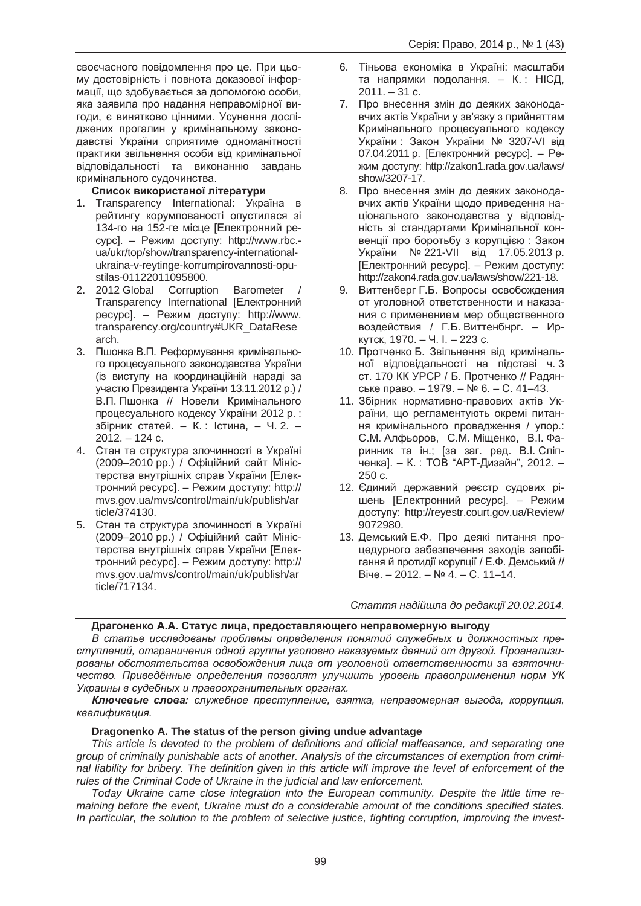своєчасного повідомлення про це. При цьому достовірність і повнота доказової інформації, що здобувається за допомогою особи, яка заявила про надання неправомірної вигоди, є винятково цінними. Усунення досліджених прогалин у кримінальному законодавстві України сприятиме одноманітності практики звільнення особи від кримінальної відповідальності та виконанню завдань кримінального судочинства.

## Список використаної літератури

- 1. Transparency International: Україна в рейтингу корумпованості опустилася зі 134-го на 152-ге місце [Електронний ресурс]. – Режим доступу: http://www.rbc.ua/ukr/top/show/transparency-internationalukraina-v-reytinge-korrumpirovannosti-opustilas-01122011095800.
- 2. 2012 Global Corruption Barometer Transparency International [Електронний pecypc]. – Режим доступу: http://www. transparency.org/country#UKR\_DataRese arch.
- 3. Пшонка В.П. Реформування кримінального процесуального законодавства України (із виступу на координаційній нараді за участю Президента України 13.11.2012 р.) / В.П. Пшонка // Новели Кримінального процесуального кодексу України 2012 р.: збірник статей. – К.: Істина, – Ч. 2. –  $2012. - 124$  c.
- 4. Стан та структура злочинності в Україні (2009–2010 рр.) / Офіційний сайт Міністерства внутрішніх справ України [Електронний ресурс]. – Режим доступу: http:// mvs.gov.ua/mvs/control/main/uk/publish/ar ticle/374130.
- 5. Стан та структура злочинності в Україні (2009–2010 рр.) / Офіційний сайт Міністерства внутрішніх справ України [Електронний ресурс]. – Режим доступу: http:// mvs.gov.ua/mvs/control/main/uk/publish/ar ticle/717134.
- 6. Тіньова економіка в Україні: масштаби та напрямки подолання. – К.: НІСД,  $2011. - 31$  c.
- 7. Про внесення змін до деяких законодавчих актів України у зв'язку з прийняттям Кримінального процесуального кодексу України: Закон України № 3207-VI від 07.04.2011 р. [Електронний ресурс]. – Режим доступу: http://zakon1.rada.gov.ua/laws/ show/3207-17.
- 8. Про внесення змін до деяких законодавчих актів України щодо приведення національного законодавства у відповідність зі стандартами Кримінальної конвенції про боротьбу з корупцією : Закон України № 221-VII від 17.05.2013 р. [Електронний ресурс]. – Режим доступу: http://zakon4.rada.gov.ua/laws/show/221-18.
- 9. Виттенберг Г.Б. Вопросы освобождения от уголовной ответственности и наказания с применением мер общественного воздействия / Г.Б. Виттенбнрг. – Иркутск, 1970. – Ч. І. – 223 с.
- 10. Протченко Б. Звільнення від кримінальної відповідальності на підставі ч. 3 ст. 170 КК УРСР / Б. Протченко // Радянське право. – 1979. – № 6. – С. 41–43.
- 11. Збірник нормативно-правових актів України, що регламентують окремі питання кримінального провадження / упор.: С.М. Алфьоров, С.М. Міщенко, В.І. Фаринник та ін.; [за заг. ред. В.І. Сліпченка]. – К.: ТОВ "АРТ-Дизайн", 2012. -250 c.
- 12. Єдиний державний реєстр судових рішень [Електронний ресурс]. – Режим доступу: http://reyestr.court.gov.ua/Review/ 9072980.
- 13. Демський Е.Ф. Про деякі питання процедурного забезпечення заходів запобігання й протидії корупції / Е.Ф. Демський // Biye. – 2012. – № 4. – С. 11–14.

 $C$ таття надійшла до редакції 20.02.2014.

## Драгоненко А.А. Статус лица, предоставляющего неправомерную выгоду

В статье исследованы проблемы определения понятий служебных и должностных преступлений, отграничения одной группы уголовно наказуемых деяний от другой. Проанализированы обстоятельства освобождения лица от уголовной ответственности за взяточничество. Приведённые определения позволят улучшить уровень правоприменения норм УК Украины в судебных и правоохранительных органах.

*Ʉɥɸɱɟɜɵɟ ɫɥɨɜɚ: ɫɥɭɠɟɛɧɨɟ ɩɪɟɫɬɭɩɥɟɧɢɟ, ɜɡɹɬɤɚ, ɧɟɩɪɚɜɨɦɟɪɧɚɹ ɜɵɝɨɞɚ, ɤɨɪɪɭɩɰɢɹ, ɤɜɚɥɢɮɢɤɚɰɢɹ.*

## **Dragonenko A. The status of the person giving undue advantage**

*This article is devoted to the problem of definitions and official malfeasance, and separating one group of criminally punishable acts of another. Analysis of the circumstances of exemption from criminal liability for bribery. The definition given in this article will improve the level of enforcement of the rules of the Criminal Code of Ukraine in the judicial and law enforcement.*

*Today Ukraine came close integration into the European community. Despite the little time remaining before the event, Ukraine must do a considerable amount of the conditions specified states. In particular, the solution to the problem of selective justice, fighting corruption, improving the invest-*